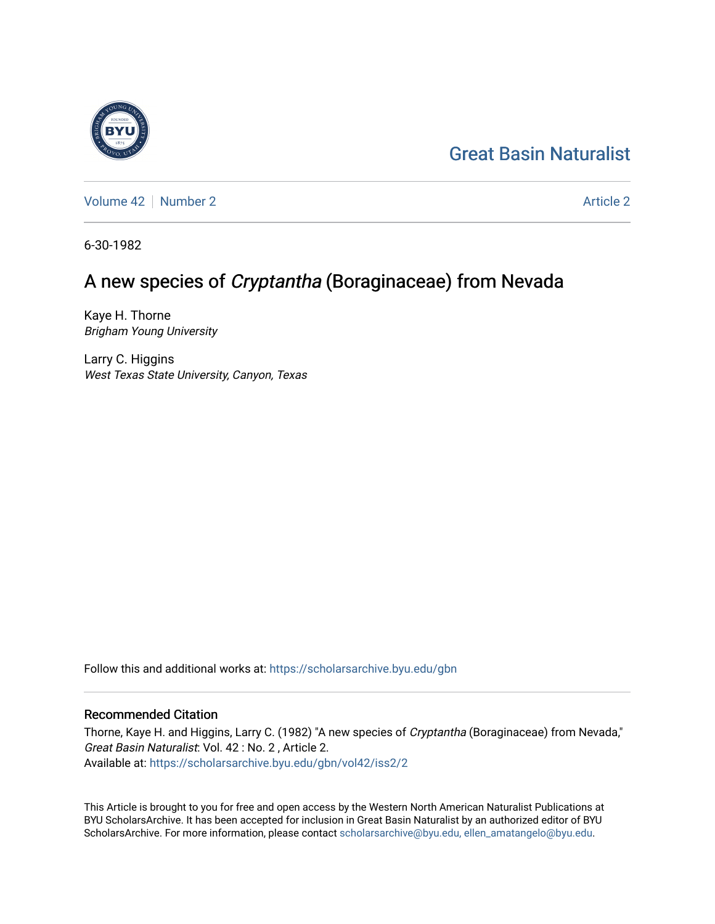# [Great Basin Naturalist](https://scholarsarchive.byu.edu/gbn)

[Volume 42](https://scholarsarchive.byu.edu/gbn/vol42) [Number 2](https://scholarsarchive.byu.edu/gbn/vol42/iss2) [Article 2](https://scholarsarchive.byu.edu/gbn/vol42/iss2/2) Article 2 Article 2 Article 2 Article 2 Article 2 Article 2

6-30-1982

# A new species of Cryptantha (Boraginaceae) from Nevada

Kaye H. Thorne Brigham Young University

Larry C. Higgins West Texas State University, Canyon, Texas

Follow this and additional works at: [https://scholarsarchive.byu.edu/gbn](https://scholarsarchive.byu.edu/gbn?utm_source=scholarsarchive.byu.edu%2Fgbn%2Fvol42%2Fiss2%2F2&utm_medium=PDF&utm_campaign=PDFCoverPages) 

### Recommended Citation

Thorne, Kaye H. and Higgins, Larry C. (1982) "A new species of Cryptantha (Boraginaceae) from Nevada," Great Basin Naturalist: Vol. 42 : No. 2 , Article 2. Available at: [https://scholarsarchive.byu.edu/gbn/vol42/iss2/2](https://scholarsarchive.byu.edu/gbn/vol42/iss2/2?utm_source=scholarsarchive.byu.edu%2Fgbn%2Fvol42%2Fiss2%2F2&utm_medium=PDF&utm_campaign=PDFCoverPages)

This Article is brought to you for free and open access by the Western North American Naturalist Publications at BYU ScholarsArchive. It has been accepted for inclusion in Great Basin Naturalist by an authorized editor of BYU ScholarsArchive. For more information, please contact [scholarsarchive@byu.edu, ellen\\_amatangelo@byu.edu.](mailto:scholarsarchive@byu.edu,%20ellen_amatangelo@byu.edu)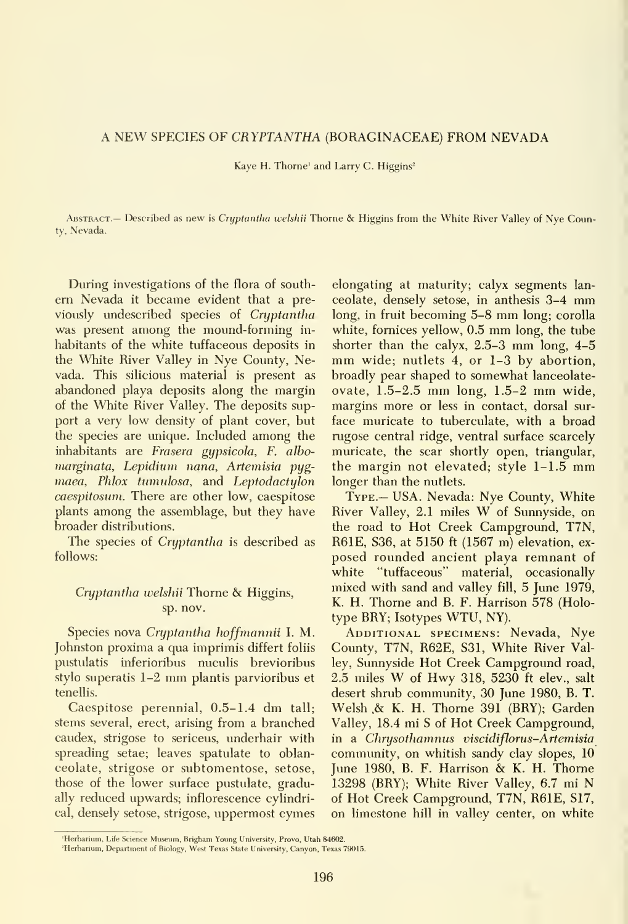#### A NEW SPECIES OF CRYPTANTHA (BORAGINACEAE) FROM NEVADA

Kaye H. Thorne' and Larry C. Higgins<sup>2</sup>

Abstract.— Described as new is Cryptantha welshii Thorne & Higgins from the White River Valley of Nye County, Nevada.

During investigations of the flora of south em Nevada it became evident that <sup>a</sup> previously undescribed species of Cryptantha was present among the mound-forming in habitants of the white tuffaceous deposits in the White River Valley in Nye County, Nevada. This silicious material is present as abandoned playa deposits along the margin of the White River Valley. The deposits support a very low density of plant cover, but the species are unique. Included among the inhabitants are Frasera gypsicola, F. albo marginata, Lepidium nana, Artemisia pyg maea. Phlox tumulosa, and Leptodactylon caespitosum. There are other low, caespitose plants among the assemblage, but they have broader distributions.

The species of Cryptantha is described as follows:

### Cryptantha welshii Thorne & Higgins, sp. nov.

Species nova Cryptantha hoffmannii I. M. Johnston proxima a qua imprimis differt foliis pustulatis inferioribus nuculis brevioribus stylo superatis 1-2 mm plantis parvioribus et tenellis.

Caespitose perennial, 0.5-1.4 dm tall; stems several, erect, arising from a branched caudex, strigose to sericeus, underhair with spreading setae; leaves spatulate to oblanceolate, strigose or subtomentose, setose, those of the lower surface pustulate, gradually reduced upwards; inflorescence cylindrical, densely setose, strigose, uppermost cymes

elongating at maturity; calyx segments lan ceolate, densely setose, in anthesis 3-4 mm long, in fruit becoming 5-8 mm long; corolla white, fomices yellow, 0.5 mm long, the tube shorter than the calyx, 2.5-3 mm long, 4-5 mm wide; nutlets 4, or 1-3 by abortion, broadly pear shaped to somewhat lanceolate ovate, 1.5-2.5 mm long, 1.5-2 mm wide, margins more or less in contact, dorsal sur face muricate to tuberculate, with a broad rugose central ridge, ventral surface scarcely muricate, the scar shortly open, triangular, the margin not elevated; style 1-1.5 mm longer than the nutlets.

Type.— USA. Nevada: Nye County, White River Valley, 2.1 miles W of Sunnyside, on the road to Hot Creek Campground, T7N, R61E, S36, at 5150 ft (1567 m) elevation, ex posed rounded ancient playa remnant of white "tuffaceous" material, occasionally mixed with sand and valley fill, 5 June 1979, K. H. Thorne and B. F. Harrison 578 (Holotype BRY; Isotypes WTU, NY).

ADDITIONAL SPECIMENS: Nevada, Nye County, T7N, R62E, S31, White River Valley, Sunnyside Hot Creek Campground road, 2.5 miles W of Hwy 318, <sup>5230</sup> ft elev., salt desert shrub community, 30 June 1980, B. T. Welsh .& K. H. Thome 391 (BRY); Garden Valley, 18.4 mi S of Hot Creek Campground, in a Chrysothamnus viscidiflorus-Artemisia community, on whitish sandy clay slopes, 10 June 1980, B. F. Harrison & K. H. Thorne 13298 (BRY); White River Valley, 6.7 mi N of Hot Creek Campground, T7N, R61E, S17, on limestone hill in valley center, on white

<sup>&#</sup>x27;Herbarium, Life Science Museum, Brigham Young University, Provo, Utah 84602.

<sup>&#</sup>x27;Herbarium, Department of Biology, West Texas State University, Canyon, Texas 79015.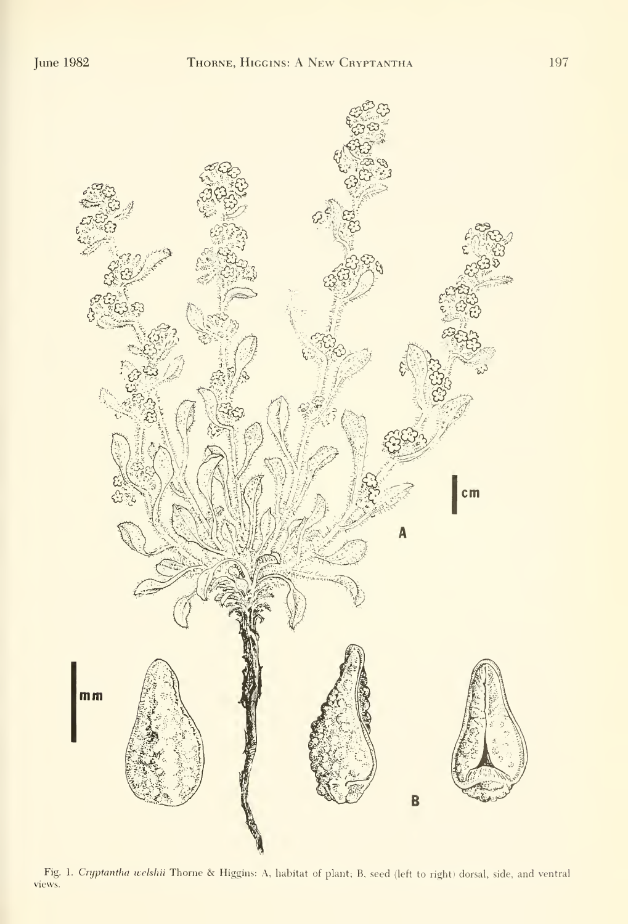

Fig. 1. Cryptantha welshii Thorne & Higgins: A, habitat of plant; B, seed (left to right) dorsal, side, and ventral views.